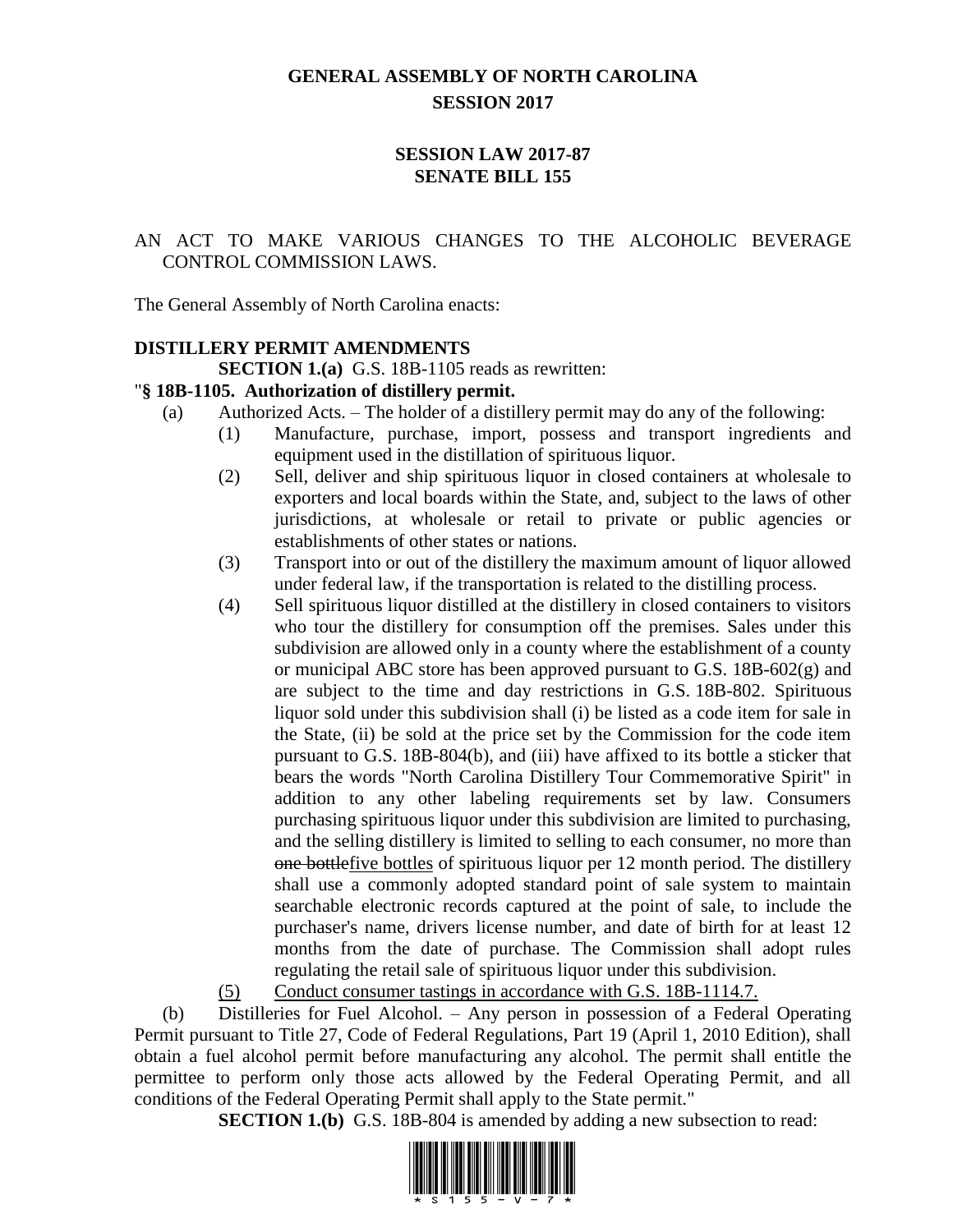## **GENERAL ASSEMBLY OF NORTH CAROLINA SESSION 2017**

### **SESSION LAW 2017-87 SENATE BILL 155**

## AN ACT TO MAKE VARIOUS CHANGES TO THE ALCOHOLIC BEVERAGE CONTROL COMMISSION LAWS.

The General Assembly of North Carolina enacts:

### **DISTILLERY PERMIT AMENDMENTS**

**SECTION 1.(a)** G.S. 18B-1105 reads as rewritten:

#### "**§ 18B-1105. Authorization of distillery permit.**

- (a) Authorized Acts. The holder of a distillery permit may do any of the following:
	- (1) Manufacture, purchase, import, possess and transport ingredients and equipment used in the distillation of spirituous liquor.
	- (2) Sell, deliver and ship spirituous liquor in closed containers at wholesale to exporters and local boards within the State, and, subject to the laws of other jurisdictions, at wholesale or retail to private or public agencies or establishments of other states or nations.
	- (3) Transport into or out of the distillery the maximum amount of liquor allowed under federal law, if the transportation is related to the distilling process.
	- (4) Sell spirituous liquor distilled at the distillery in closed containers to visitors who tour the distillery for consumption off the premises. Sales under this subdivision are allowed only in a county where the establishment of a county or municipal ABC store has been approved pursuant to G.S. 18B-602(g) and are subject to the time and day restrictions in G.S. 18B-802. Spirituous liquor sold under this subdivision shall (i) be listed as a code item for sale in the State, (ii) be sold at the price set by the Commission for the code item pursuant to G.S. 18B-804(b), and (iii) have affixed to its bottle a sticker that bears the words "North Carolina Distillery Tour Commemorative Spirit" in addition to any other labeling requirements set by law. Consumers purchasing spirituous liquor under this subdivision are limited to purchasing, and the selling distillery is limited to selling to each consumer, no more than one bottlefive bottles of spirituous liquor per 12 month period. The distillery shall use a commonly adopted standard point of sale system to maintain searchable electronic records captured at the point of sale, to include the purchaser's name, drivers license number, and date of birth for at least 12 months from the date of purchase. The Commission shall adopt rules regulating the retail sale of spirituous liquor under this subdivision.

(5) Conduct consumer tastings in accordance with G.S. 18B-1114.7.

(b) Distilleries for Fuel Alcohol. – Any person in possession of a Federal Operating Permit pursuant to Title 27, Code of Federal Regulations, Part 19 (April 1, 2010 Edition), shall obtain a fuel alcohol permit before manufacturing any alcohol. The permit shall entitle the permittee to perform only those acts allowed by the Federal Operating Permit, and all conditions of the Federal Operating Permit shall apply to the State permit."

**SECTION 1.(b)** G.S. 18B-804 is amended by adding a new subsection to read:

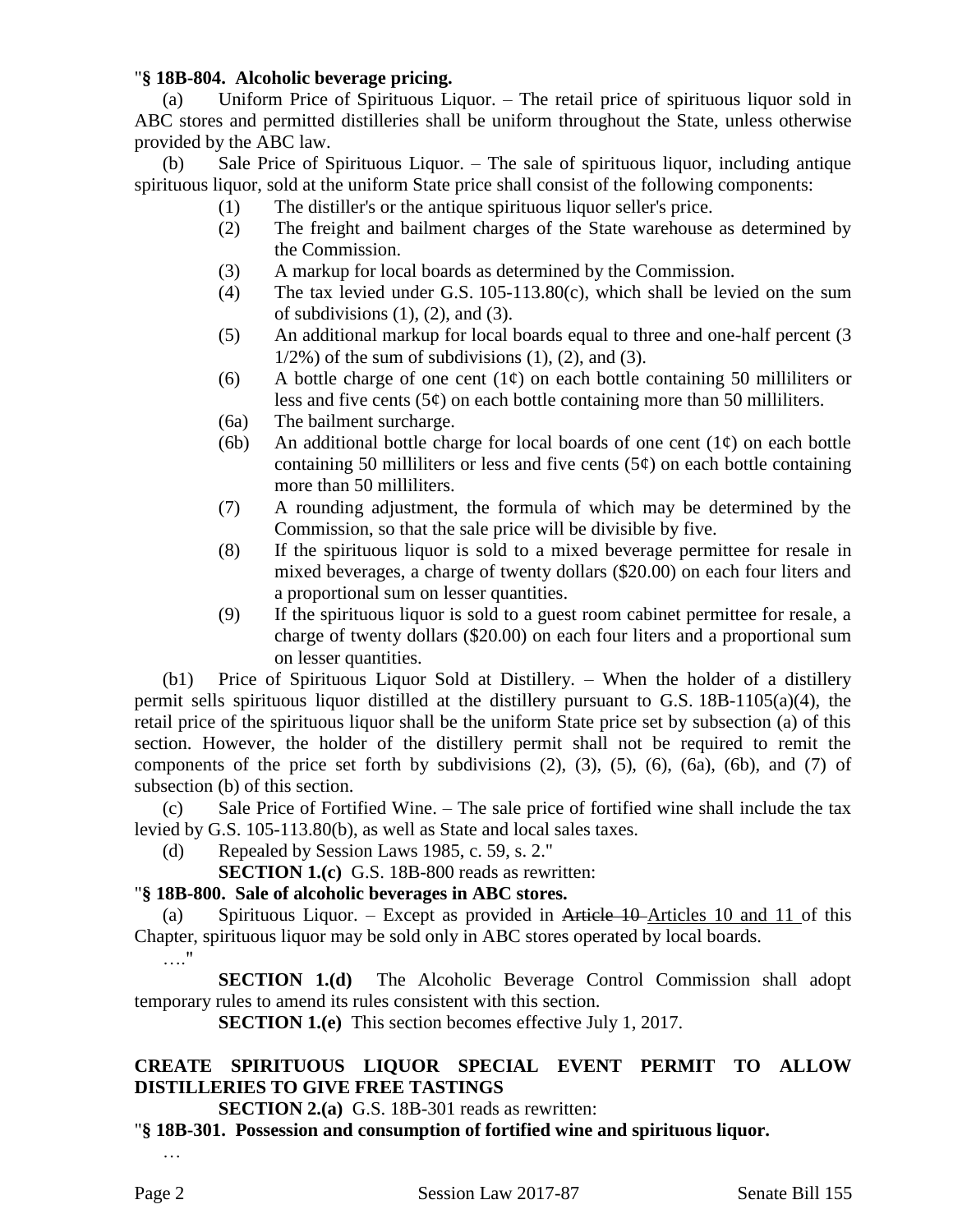### "**§ 18B-804. Alcoholic beverage pricing.**

(a) Uniform Price of Spirituous Liquor. – The retail price of spirituous liquor sold in ABC stores and permitted distilleries shall be uniform throughout the State, unless otherwise provided by the ABC law.

(b) Sale Price of Spirituous Liquor. – The sale of spirituous liquor, including antique spirituous liquor, sold at the uniform State price shall consist of the following components:

- (1) The distiller's or the antique spirituous liquor seller's price.
- (2) The freight and bailment charges of the State warehouse as determined by the Commission.
- (3) A markup for local boards as determined by the Commission.
- (4) The tax levied under G.S. 105-113.80(c), which shall be levied on the sum of subdivisions  $(1)$ ,  $(2)$ , and  $(3)$ .
- (5) An additional markup for local boards equal to three and one-half percent (3  $1/2\%$ ) of the sum of subdivisions  $(1)$ ,  $(2)$ , and  $(3)$ .
- (6) A bottle charge of one cent  $(1\psi)$  on each bottle containing 50 milliliters or less and five cents  $(5¢)$  on each bottle containing more than 50 milliliters.
- (6a) The bailment surcharge.
- (6b) An additional bottle charge for local boards of one cent  $(1¢)$  on each bottle containing 50 milliliters or less and five cents  $(5¢)$  on each bottle containing more than 50 milliliters.
- (7) A rounding adjustment, the formula of which may be determined by the Commission, so that the sale price will be divisible by five.
- (8) If the spirituous liquor is sold to a mixed beverage permittee for resale in mixed beverages, a charge of twenty dollars (\$20.00) on each four liters and a proportional sum on lesser quantities.
- (9) If the spirituous liquor is sold to a guest room cabinet permittee for resale, a charge of twenty dollars (\$20.00) on each four liters and a proportional sum on lesser quantities.

(b1) Price of Spirituous Liquor Sold at Distillery. – When the holder of a distillery permit sells spirituous liquor distilled at the distillery pursuant to G.S. 18B-1105(a)(4), the retail price of the spirituous liquor shall be the uniform State price set by subsection (a) of this section. However, the holder of the distillery permit shall not be required to remit the components of the price set forth by subdivisions  $(2)$ ,  $(3)$ ,  $(5)$ ,  $(6)$ ,  $(6a)$ ,  $(6b)$ , and  $(7)$  of subsection (b) of this section.

(c) Sale Price of Fortified Wine. – The sale price of fortified wine shall include the tax levied by G.S. 105-113.80(b), as well as State and local sales taxes.

(d) Repealed by Session Laws 1985, c. 59, s. 2."

**SECTION 1.(c)** G.S. 18B-800 reads as rewritten:

### "**§ 18B-800. Sale of alcoholic beverages in ABC stores.**

(a) Spirituous Liquor. – Except as provided in Article  $10$ -Articles 10 and 11 of this Chapter, spirituous liquor may be sold only in ABC stores operated by local boards.

…."

**SECTION 1.(d)** The Alcoholic Beverage Control Commission shall adopt temporary rules to amend its rules consistent with this section.

**SECTION 1.(e)** This section becomes effective July 1, 2017.

## **CREATE SPIRITUOUS LIQUOR SPECIAL EVENT PERMIT TO ALLOW DISTILLERIES TO GIVE FREE TASTINGS**

**SECTION 2.(a)** G.S. 18B-301 reads as rewritten:

"**§ 18B-301. Possession and consumption of fortified wine and spirituous liquor.**

…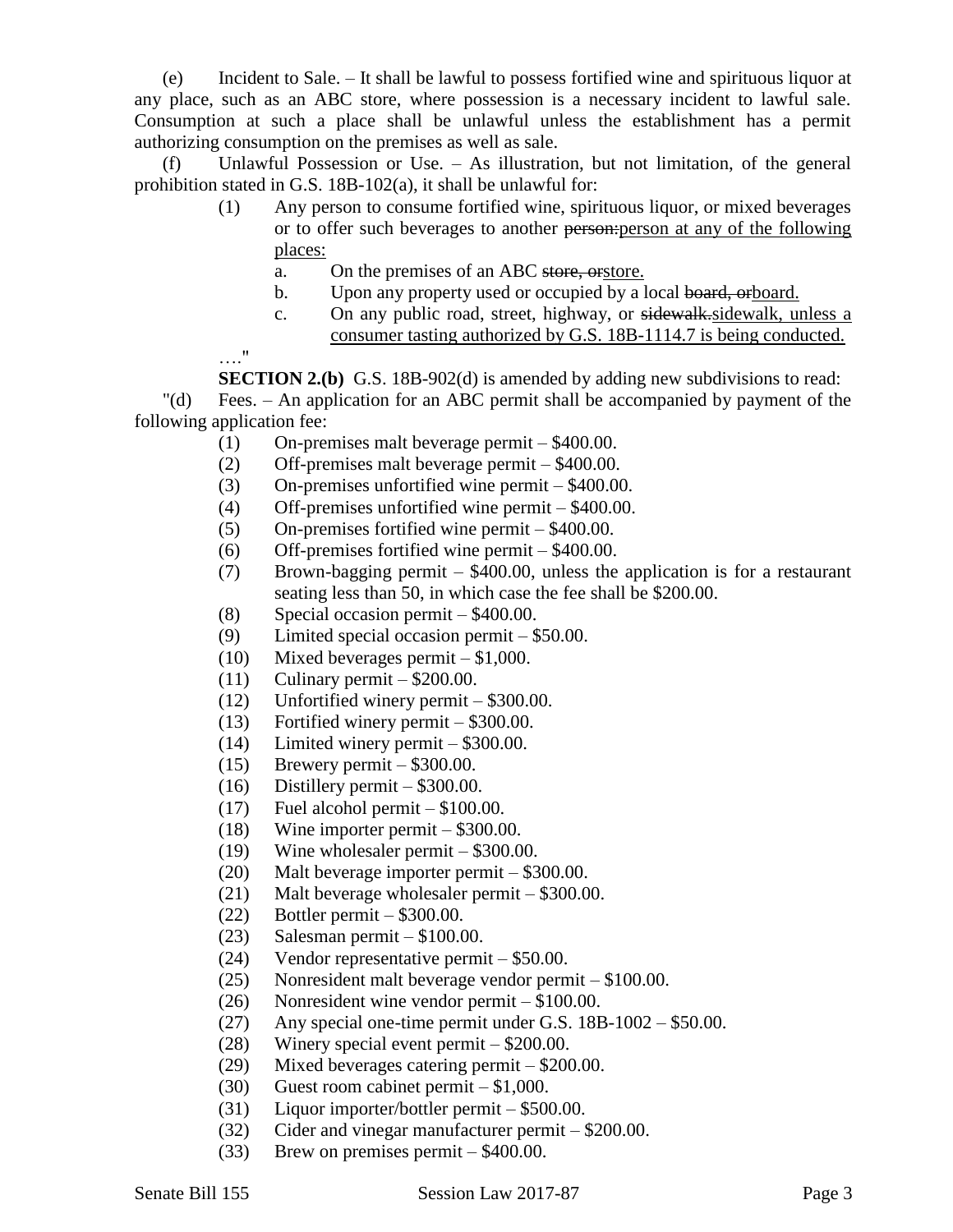(e) Incident to Sale. – It shall be lawful to possess fortified wine and spirituous liquor at any place, such as an ABC store, where possession is a necessary incident to lawful sale. Consumption at such a place shall be unlawful unless the establishment has a permit authorizing consumption on the premises as well as sale.

(f) Unlawful Possession or Use. – As illustration, but not limitation, of the general prohibition stated in G.S. 18B-102(a), it shall be unlawful for:

- (1) Any person to consume fortified wine, spirituous liquor, or mixed beverages or to offer such beverages to another person:person at any of the following places:
	- a. On the premises of an ABC store, orstore.
	- b. Upon any property used or occupied by a local board, orboard.
	- c. On any public road, street, highway, or sidewalk-sidewalk, unless a consumer tasting authorized by G.S. 18B-1114.7 is being conducted.

…."

**SECTION 2.(b)** G.S. 18B-902(d) is amended by adding new subdivisions to read:

"(d) Fees. – An application for an ABC permit shall be accompanied by payment of the following application fee:

- (1) On-premises malt beverage permit \$400.00.
- (2) Off-premises malt beverage permit \$400.00.
- (3) On-premises unfortified wine permit \$400.00.
- (4) Off-premises unfortified wine permit \$400.00.
- (5) On-premises fortified wine permit \$400.00.
- (6) Off-premises fortified wine permit \$400.00.
- (7) Brown-bagging permit \$400.00, unless the application is for a restaurant seating less than 50, in which case the fee shall be \$200.00.
- (8) Special occasion permit \$400.00.
- (9) Limited special occasion permit \$50.00.
- (10) Mixed beverages permit \$1,000.
- $(11)$  Culinary permit \$200.00.
- (12) Unfortified winery permit \$300.00.
- (13) Fortified winery permit \$300.00.
- (14) Limited winery permit \$300.00.
- (15) Brewery permit \$300.00.
- (16) Distillery permit \$300.00.
- $(17)$  Fuel alcohol permit \$100.00.
- (18) Wine importer permit \$300.00.
- (19) Wine wholesaler permit \$300.00.
- (20) Malt beverage importer permit \$300.00.
- (21) Malt beverage wholesaler permit \$300.00.
- (22) Bottler permit \$300.00.
- (23) Salesman permit \$100.00.
- (24) Vendor representative permit \$50.00.
- (25) Nonresident malt beverage vendor permit \$100.00.
- (26) Nonresident wine vendor permit \$100.00.
- (27) Any special one-time permit under G.S. 18B-1002 \$50.00.
- (28) Winery special event permit \$200.00.
- (29) Mixed beverages catering permit \$200.00.
- (30) Guest room cabinet permit \$1,000.
- (31) Liquor importer/bottler permit \$500.00.
- (32) Cider and vinegar manufacturer permit \$200.00.
- (33) Brew on premises permit \$400.00.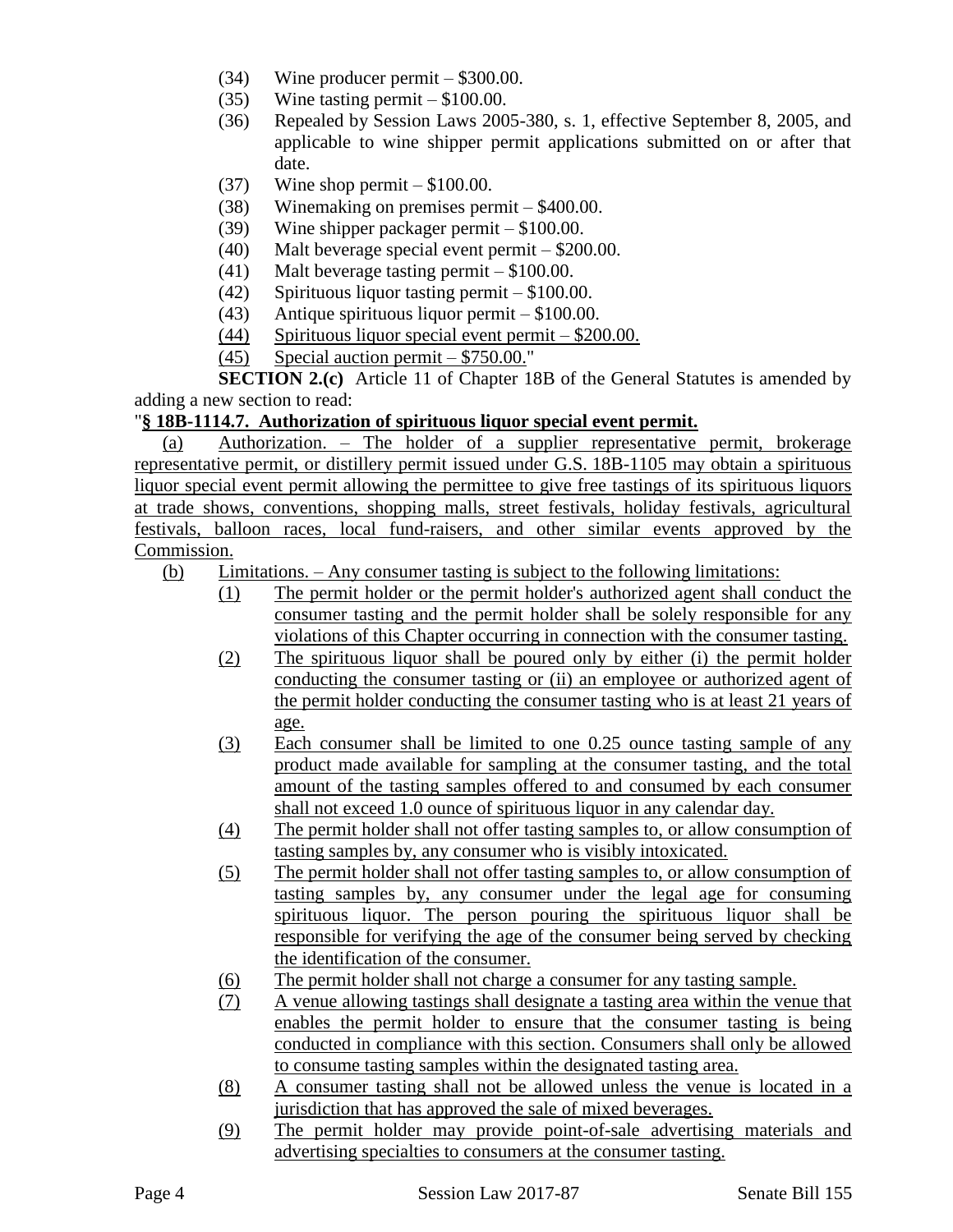- (34) Wine producer permit \$300.00.
- $(35)$  Wine tasting permit \$100.00.
- (36) Repealed by Session Laws 2005-380, s. 1, effective September 8, 2005, and applicable to wine shipper permit applications submitted on or after that date.
- $(37)$  Wine shop permit \$100.00.
- (38) Winemaking on premises permit \$400.00.
- (39) Wine shipper packager permit \$100.00.
- (40) Malt beverage special event permit \$200.00.
- (41) Malt beverage tasting permit \$100.00.
- (42) Spirituous liquor tasting permit \$100.00.
- (43) Antique spirituous liquor permit \$100.00.
- (44) Spirituous liquor special event permit \$200.00.
- (45) Special auction permit \$750.00."

**SECTION 2.(c)** Article 11 of Chapter 18B of the General Statutes is amended by adding a new section to read:

## "**§ 18B-1114.7. Authorization of spirituous liquor special event permit.**

(a) Authorization. – The holder of a supplier representative permit, brokerage representative permit, or distillery permit issued under G.S. 18B-1105 may obtain a spirituous liquor special event permit allowing the permittee to give free tastings of its spirituous liquors at trade shows, conventions, shopping malls, street festivals, holiday festivals, agricultural festivals, balloon races, local fund-raisers, and other similar events approved by the Commission.

- (b) Limitations. Any consumer tasting is subject to the following limitations:
	- (1) The permit holder or the permit holder's authorized agent shall conduct the consumer tasting and the permit holder shall be solely responsible for any violations of this Chapter occurring in connection with the consumer tasting.
	- (2) The spirituous liquor shall be poured only by either (i) the permit holder conducting the consumer tasting or (ii) an employee or authorized agent of the permit holder conducting the consumer tasting who is at least 21 years of age.
	- (3) Each consumer shall be limited to one 0.25 ounce tasting sample of any product made available for sampling at the consumer tasting, and the total amount of the tasting samples offered to and consumed by each consumer shall not exceed 1.0 ounce of spirituous liquor in any calendar day.
	- (4) The permit holder shall not offer tasting samples to, or allow consumption of tasting samples by, any consumer who is visibly intoxicated.
	- (5) The permit holder shall not offer tasting samples to, or allow consumption of tasting samples by, any consumer under the legal age for consuming spirituous liquor. The person pouring the spirituous liquor shall be responsible for verifying the age of the consumer being served by checking the identification of the consumer.
	- (6) The permit holder shall not charge a consumer for any tasting sample.
	- (7) A venue allowing tastings shall designate a tasting area within the venue that enables the permit holder to ensure that the consumer tasting is being conducted in compliance with this section. Consumers shall only be allowed to consume tasting samples within the designated tasting area.
	- (8) A consumer tasting shall not be allowed unless the venue is located in a jurisdiction that has approved the sale of mixed beverages.
	- (9) The permit holder may provide point-of-sale advertising materials and advertising specialties to consumers at the consumer tasting.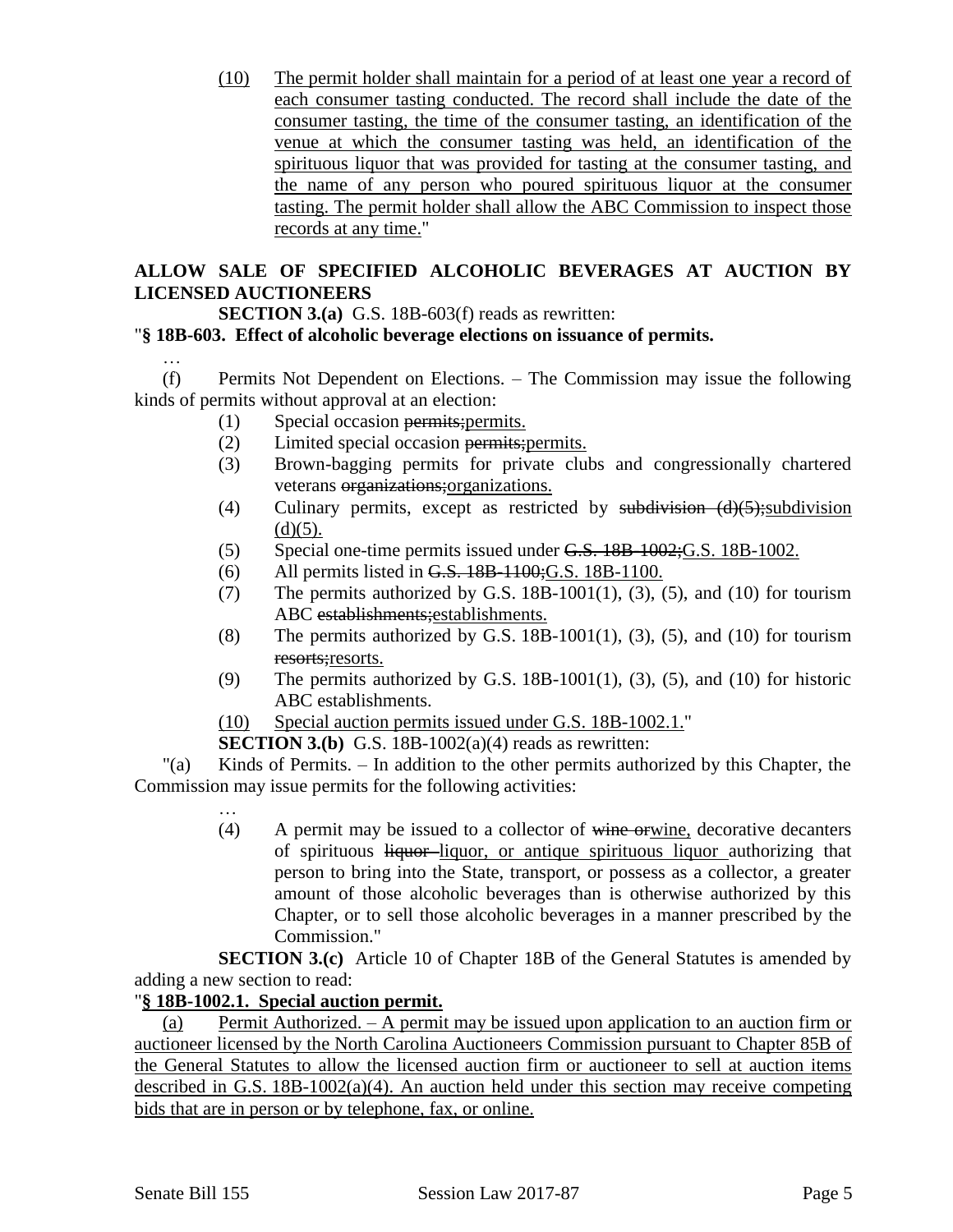(10) The permit holder shall maintain for a period of at least one year a record of each consumer tasting conducted. The record shall include the date of the consumer tasting, the time of the consumer tasting, an identification of the venue at which the consumer tasting was held, an identification of the spirituous liquor that was provided for tasting at the consumer tasting, and the name of any person who poured spirituous liquor at the consumer tasting. The permit holder shall allow the ABC Commission to inspect those records at any time."

## **ALLOW SALE OF SPECIFIED ALCOHOLIC BEVERAGES AT AUCTION BY LICENSED AUCTIONEERS**

**SECTION 3.(a)** G.S. 18B-603(f) reads as rewritten:

### "**§ 18B-603. Effect of alcoholic beverage elections on issuance of permits.**

(f) Permits Not Dependent on Elections. – The Commission may issue the following kinds of permits without approval at an election:

- (1) Special occasion permits;permits.
- (2) Limited special occasion permits;permits.
- (3) Brown-bagging permits for private clubs and congressionally chartered veterans organizations;organizations.
- (4) Culinary permits, except as restricted by subdivision  $(d)(5)$ ; subdivision  $(d)(5)$ .
- (5) Special one-time permits issued under G.S. 18B-1002;G.S. 18B-1002.
- (6) All permits listed in G.S. 18B-1100;G.S. 18B-1100.
- (7) The permits authorized by G.S. 18B-1001(1), (3), (5), and (10) for tourism ABC establishments;establishments.
- (8) The permits authorized by G.S. 18B-1001(1), (3), (5), and (10) for tourism resorts;resorts.
- (9) The permits authorized by G.S.  $18B-1001(1)$ , (3), (5), and (10) for historic ABC establishments.
- (10) Special auction permits issued under G.S. 18B-1002.1."
- **SECTION 3.(b)** G.S. 18B-1002(a)(4) reads as rewritten:

"(a) Kinds of Permits. – In addition to the other permits authorized by this Chapter, the Commission may issue permits for the following activities:

> … (4) A permit may be issued to a collector of wine orwine, decorative decanters of spirituous liquor liquor, or antique spirituous liquor authorizing that person to bring into the State, transport, or possess as a collector, a greater amount of those alcoholic beverages than is otherwise authorized by this Chapter, or to sell those alcoholic beverages in a manner prescribed by the Commission."

**SECTION 3.(c)** Article 10 of Chapter 18B of the General Statutes is amended by adding a new section to read:

## "**§ 18B-1002.1. Special auction permit.**

(a) Permit Authorized. – A permit may be issued upon application to an auction firm or auctioneer licensed by the North Carolina Auctioneers Commission pursuant to Chapter 85B of the General Statutes to allow the licensed auction firm or auctioneer to sell at auction items described in G.S. 18B-1002(a)(4). An auction held under this section may receive competing bids that are in person or by telephone, fax, or online.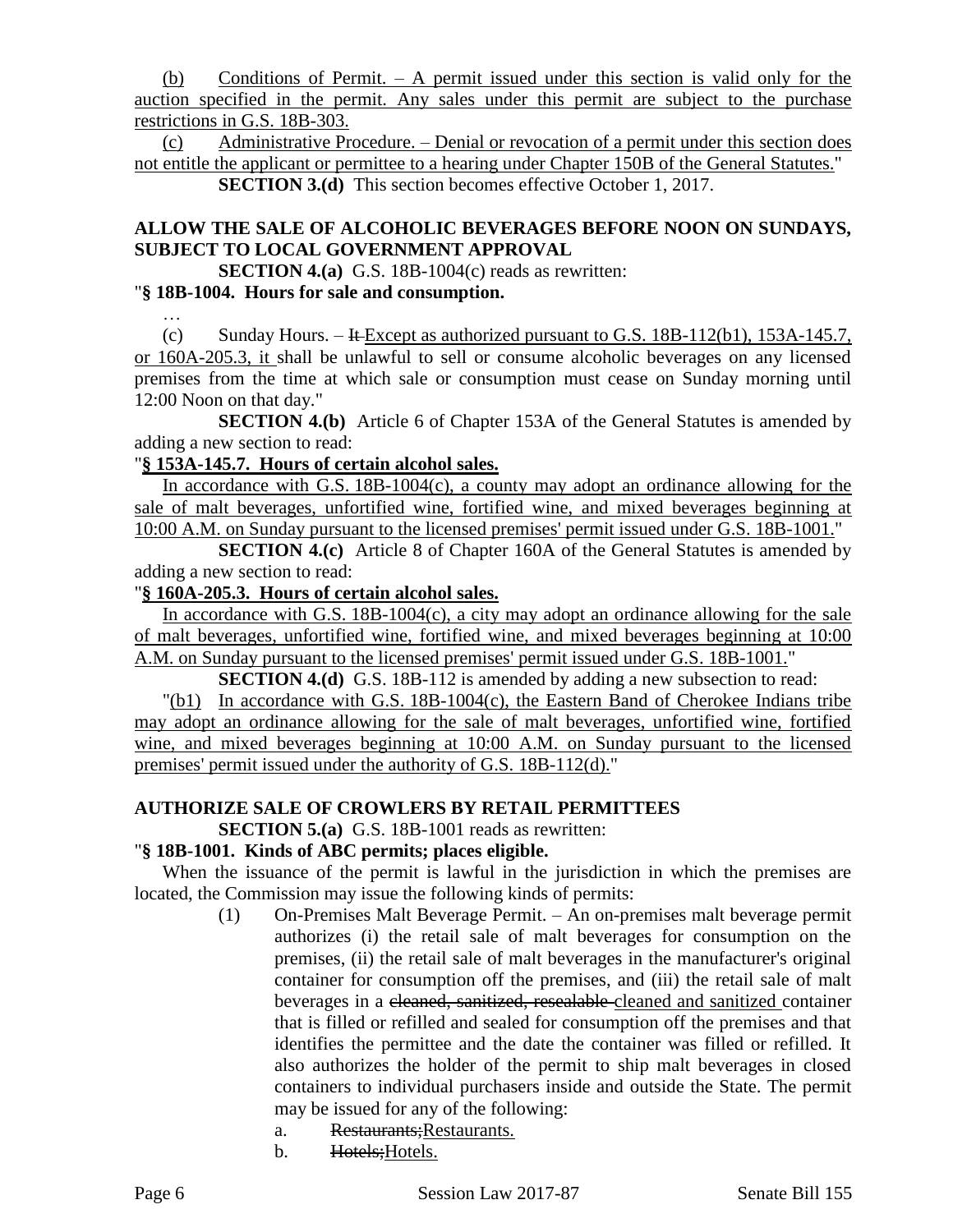(b) Conditions of Permit. – A permit issued under this section is valid only for the auction specified in the permit. Any sales under this permit are subject to the purchase restrictions in G.S. 18B-303.

(c) Administrative Procedure. – Denial or revocation of a permit under this section does not entitle the applicant or permittee to a hearing under Chapter 150B of the General Statutes."

**SECTION 3.(d)** This section becomes effective October 1, 2017.

## **ALLOW THE SALE OF ALCOHOLIC BEVERAGES BEFORE NOON ON SUNDAYS, SUBJECT TO LOCAL GOVERNMENT APPROVAL**

**SECTION 4.(a)** G.S. 18B-1004(c) reads as rewritten:

### "**§ 18B-1004. Hours for sale and consumption.**

… (c) Sunday Hours. –  $H$ -Except as authorized pursuant to G.S. 18B-112(b1), 153A-145.7, or 160A-205.3, it shall be unlawful to sell or consume alcoholic beverages on any licensed premises from the time at which sale or consumption must cease on Sunday morning until 12:00 Noon on that day."

**SECTION 4.(b)** Article 6 of Chapter 153A of the General Statutes is amended by adding a new section to read:

### "**§ 153A-145.7. Hours of certain alcohol sales.**

In accordance with G.S. 18B-1004(c), a county may adopt an ordinance allowing for the sale of malt beverages, unfortified wine, fortified wine, and mixed beverages beginning at 10:00 A.M. on Sunday pursuant to the licensed premises' permit issued under G.S. 18B-1001."

**SECTION 4.(c)** Article 8 of Chapter 160A of the General Statutes is amended by adding a new section to read:

### "**§ 160A-205.3. Hours of certain alcohol sales.**

In accordance with G.S. 18B-1004(c), a city may adopt an ordinance allowing for the sale of malt beverages, unfortified wine, fortified wine, and mixed beverages beginning at 10:00 A.M. on Sunday pursuant to the licensed premises' permit issued under G.S. 18B-1001."

**SECTION 4.(d)** G.S. 18B-112 is amended by adding a new subsection to read:

"(b1) In accordance with G.S. 18B-1004(c), the Eastern Band of Cherokee Indians tribe may adopt an ordinance allowing for the sale of malt beverages, unfortified wine, fortified wine, and mixed beverages beginning at 10:00 A.M. on Sunday pursuant to the licensed premises' permit issued under the authority of G.S. 18B-112(d)."

# **AUTHORIZE SALE OF CROWLERS BY RETAIL PERMITTEES**

**SECTION 5.(a)** G.S. 18B-1001 reads as rewritten:

### "**§ 18B-1001. Kinds of ABC permits; places eligible.**

When the issuance of the permit is lawful in the jurisdiction in which the premises are located, the Commission may issue the following kinds of permits:

- (1) On-Premises Malt Beverage Permit. An on-premises malt beverage permit authorizes (i) the retail sale of malt beverages for consumption on the premises, (ii) the retail sale of malt beverages in the manufacturer's original container for consumption off the premises, and (iii) the retail sale of malt beverages in a cleaned, sanitized, resealable cleaned and sanitized container that is filled or refilled and sealed for consumption off the premises and that identifies the permittee and the date the container was filled or refilled. It also authorizes the holder of the permit to ship malt beverages in closed containers to individual purchasers inside and outside the State. The permit may be issued for any of the following:
	- a. Restaurants;Restaurants.
	- b. Hotels; Hotels.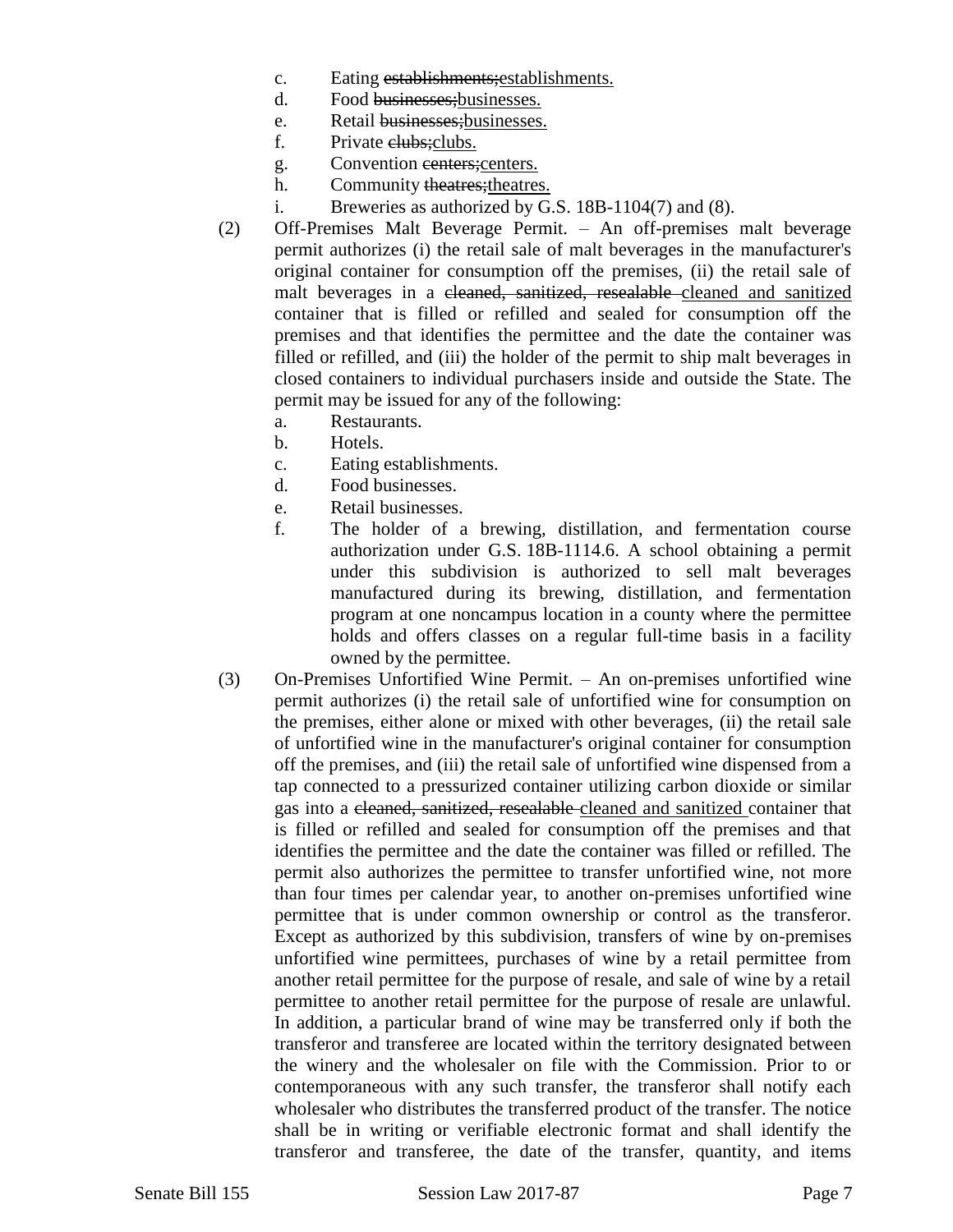- c. Eating establishments;establishments.
- d. Food businesses;businesses.
- e. Retail businesses;businesses.
- f. Private elubs: clubs.
- g. Convention centers;centers.
- h. Community theatres; theatres.
- i. Breweries as authorized by G.S. 18B-1104(7) and (8).
- (2) Off-Premises Malt Beverage Permit. An off-premises malt beverage permit authorizes (i) the retail sale of malt beverages in the manufacturer's original container for consumption off the premises, (ii) the retail sale of malt beverages in a cleaned, sanitized, resealable cleaned and sanitized container that is filled or refilled and sealed for consumption off the premises and that identifies the permittee and the date the container was filled or refilled, and (iii) the holder of the permit to ship malt beverages in closed containers to individual purchasers inside and outside the State. The permit may be issued for any of the following:
	- a. Restaurants.
	- b. Hotels.
	- c. Eating establishments.
	- d. Food businesses.
	- e. Retail businesses.
	- f. The holder of a brewing, distillation, and fermentation course authorization under G.S. 18B-1114.6. A school obtaining a permit under this subdivision is authorized to sell malt beverages manufactured during its brewing, distillation, and fermentation program at one noncampus location in a county where the permittee holds and offers classes on a regular full-time basis in a facility owned by the permittee.
- (3) On-Premises Unfortified Wine Permit. An on-premises unfortified wine permit authorizes (i) the retail sale of unfortified wine for consumption on the premises, either alone or mixed with other beverages, (ii) the retail sale of unfortified wine in the manufacturer's original container for consumption off the premises, and (iii) the retail sale of unfortified wine dispensed from a tap connected to a pressurized container utilizing carbon dioxide or similar gas into a cleaned, sanitized, resealable cleaned and sanitized container that is filled or refilled and sealed for consumption off the premises and that identifies the permittee and the date the container was filled or refilled. The permit also authorizes the permittee to transfer unfortified wine, not more than four times per calendar year, to another on-premises unfortified wine permittee that is under common ownership or control as the transferor. Except as authorized by this subdivision, transfers of wine by on-premises unfortified wine permittees, purchases of wine by a retail permittee from another retail permittee for the purpose of resale, and sale of wine by a retail permittee to another retail permittee for the purpose of resale are unlawful. In addition, a particular brand of wine may be transferred only if both the transferor and transferee are located within the territory designated between the winery and the wholesaler on file with the Commission. Prior to or contemporaneous with any such transfer, the transferor shall notify each wholesaler who distributes the transferred product of the transfer. The notice shall be in writing or verifiable electronic format and shall identify the transferor and transferee, the date of the transfer, quantity, and items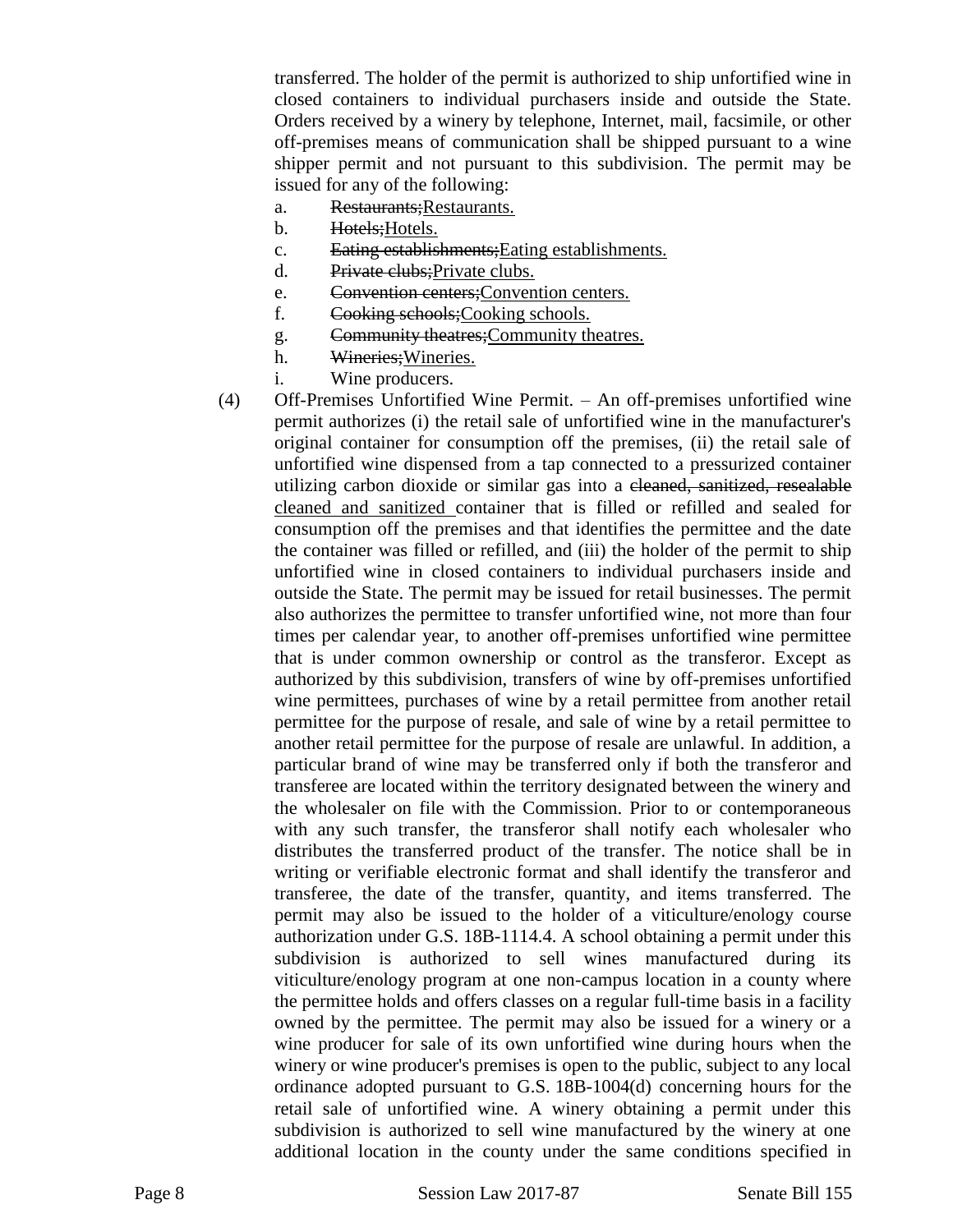transferred. The holder of the permit is authorized to ship unfortified wine in closed containers to individual purchasers inside and outside the State. Orders received by a winery by telephone, Internet, mail, facsimile, or other off-premises means of communication shall be shipped pursuant to a wine shipper permit and not pursuant to this subdivision. The permit may be issued for any of the following:

- a. Restaurants;Restaurants.
- b. Hotels; Hotels.
- c. Eating establishments;Eating establishments.
- d. Private clubs: Private clubs.
- e. Convention centers;Convention centers.
- f. Cooking schools;Cooking schools.
- g. Community theatres;Community theatres.
- h. Wineries;Wineries.
- i. Wine producers.
- (4) Off-Premises Unfortified Wine Permit. An off-premises unfortified wine permit authorizes (i) the retail sale of unfortified wine in the manufacturer's original container for consumption off the premises, (ii) the retail sale of unfortified wine dispensed from a tap connected to a pressurized container utilizing carbon dioxide or similar gas into a cleaned, sanitized, resealable cleaned and sanitized container that is filled or refilled and sealed for consumption off the premises and that identifies the permittee and the date the container was filled or refilled, and (iii) the holder of the permit to ship unfortified wine in closed containers to individual purchasers inside and outside the State. The permit may be issued for retail businesses. The permit also authorizes the permittee to transfer unfortified wine, not more than four times per calendar year, to another off-premises unfortified wine permittee that is under common ownership or control as the transferor. Except as authorized by this subdivision, transfers of wine by off-premises unfortified wine permittees, purchases of wine by a retail permittee from another retail permittee for the purpose of resale, and sale of wine by a retail permittee to another retail permittee for the purpose of resale are unlawful. In addition, a particular brand of wine may be transferred only if both the transferor and transferee are located within the territory designated between the winery and the wholesaler on file with the Commission. Prior to or contemporaneous with any such transfer, the transferor shall notify each wholesaler who distributes the transferred product of the transfer. The notice shall be in writing or verifiable electronic format and shall identify the transferor and transferee, the date of the transfer, quantity, and items transferred. The permit may also be issued to the holder of a viticulture/enology course authorization under G.S. 18B-1114.4. A school obtaining a permit under this subdivision is authorized to sell wines manufactured during its viticulture/enology program at one non-campus location in a county where the permittee holds and offers classes on a regular full-time basis in a facility owned by the permittee. The permit may also be issued for a winery or a wine producer for sale of its own unfortified wine during hours when the winery or wine producer's premises is open to the public, subject to any local ordinance adopted pursuant to G.S. 18B-1004(d) concerning hours for the retail sale of unfortified wine. A winery obtaining a permit under this subdivision is authorized to sell wine manufactured by the winery at one additional location in the county under the same conditions specified in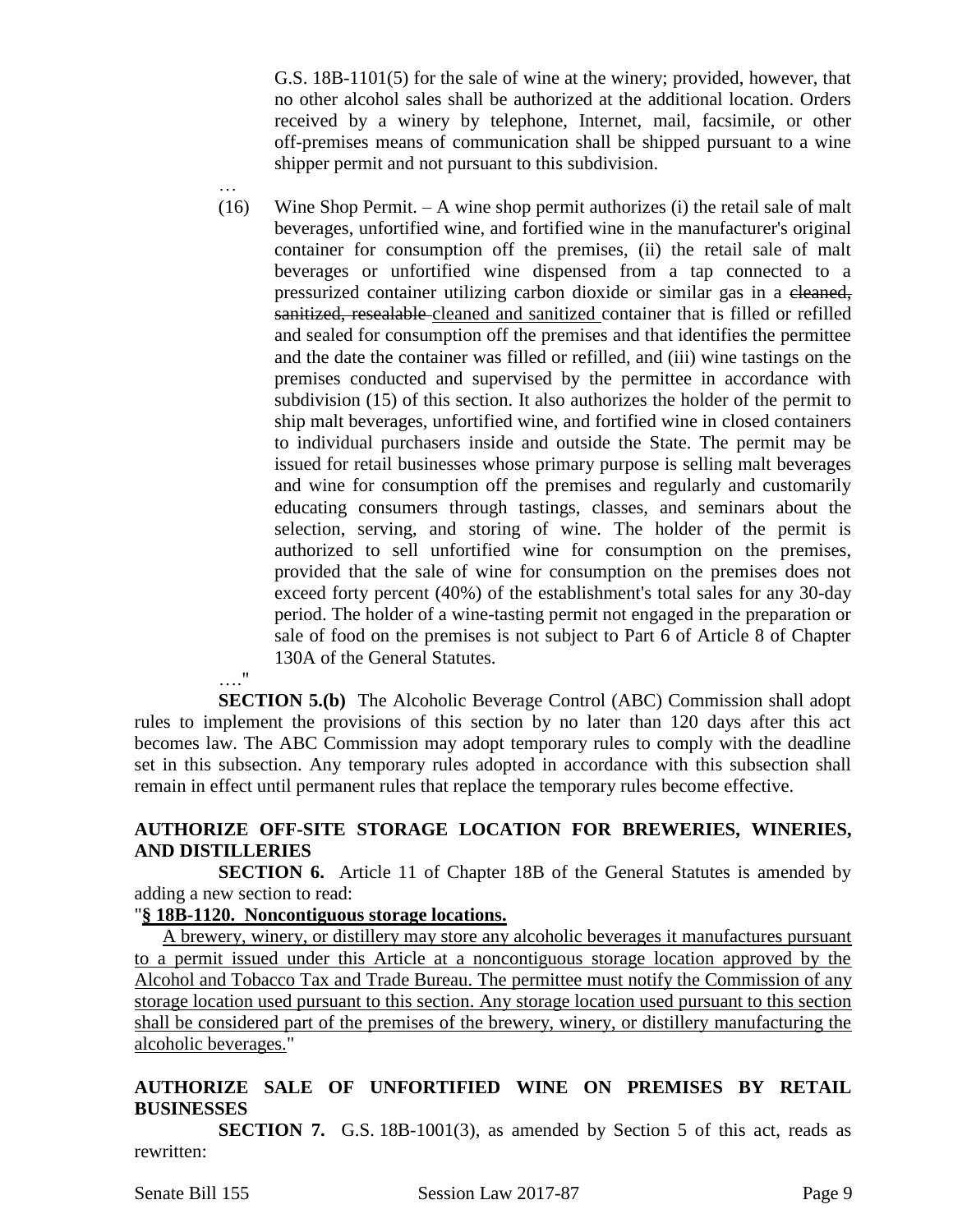G.S. 18B-1101(5) for the sale of wine at the winery; provided, however, that no other alcohol sales shall be authorized at the additional location. Orders received by a winery by telephone, Internet, mail, facsimile, or other off-premises means of communication shall be shipped pursuant to a wine shipper permit and not pursuant to this subdivision.

… (16) Wine Shop Permit. – A wine shop permit authorizes (i) the retail sale of malt beverages, unfortified wine, and fortified wine in the manufacturer's original container for consumption off the premises, (ii) the retail sale of malt beverages or unfortified wine dispensed from a tap connected to a pressurized container utilizing carbon dioxide or similar gas in a cleaned, sanitized, resealable cleaned and sanitized container that is filled or refilled and sealed for consumption off the premises and that identifies the permittee and the date the container was filled or refilled, and (iii) wine tastings on the premises conducted and supervised by the permittee in accordance with subdivision (15) of this section. It also authorizes the holder of the permit to ship malt beverages, unfortified wine, and fortified wine in closed containers to individual purchasers inside and outside the State. The permit may be issued for retail businesses whose primary purpose is selling malt beverages and wine for consumption off the premises and regularly and customarily educating consumers through tastings, classes, and seminars about the selection, serving, and storing of wine. The holder of the permit is authorized to sell unfortified wine for consumption on the premises, provided that the sale of wine for consumption on the premises does not exceed forty percent (40%) of the establishment's total sales for any 30-day period. The holder of a wine-tasting permit not engaged in the preparation or sale of food on the premises is not subject to Part 6 of Article 8 of Chapter 130A of the General Statutes.

…"

**SECTION 5.(b)** The Alcoholic Beverage Control (ABC) Commission shall adopt rules to implement the provisions of this section by no later than 120 days after this act becomes law. The ABC Commission may adopt temporary rules to comply with the deadline set in this subsection. Any temporary rules adopted in accordance with this subsection shall remain in effect until permanent rules that replace the temporary rules become effective.

## **AUTHORIZE OFF-SITE STORAGE LOCATION FOR BREWERIES, WINERIES, AND DISTILLERIES**

**SECTION 6.** Article 11 of Chapter 18B of the General Statutes is amended by adding a new section to read:

# "**§ 18B-1120. Noncontiguous storage locations.**

A brewery, winery, or distillery may store any alcoholic beverages it manufactures pursuant to a permit issued under this Article at a noncontiguous storage location approved by the Alcohol and Tobacco Tax and Trade Bureau. The permittee must notify the Commission of any storage location used pursuant to this section. Any storage location used pursuant to this section shall be considered part of the premises of the brewery, winery, or distillery manufacturing the alcoholic beverages."

# **AUTHORIZE SALE OF UNFORTIFIED WINE ON PREMISES BY RETAIL BUSINESSES**

**SECTION 7.** G.S. 18B-1001(3), as amended by Section 5 of this act, reads as rewritten: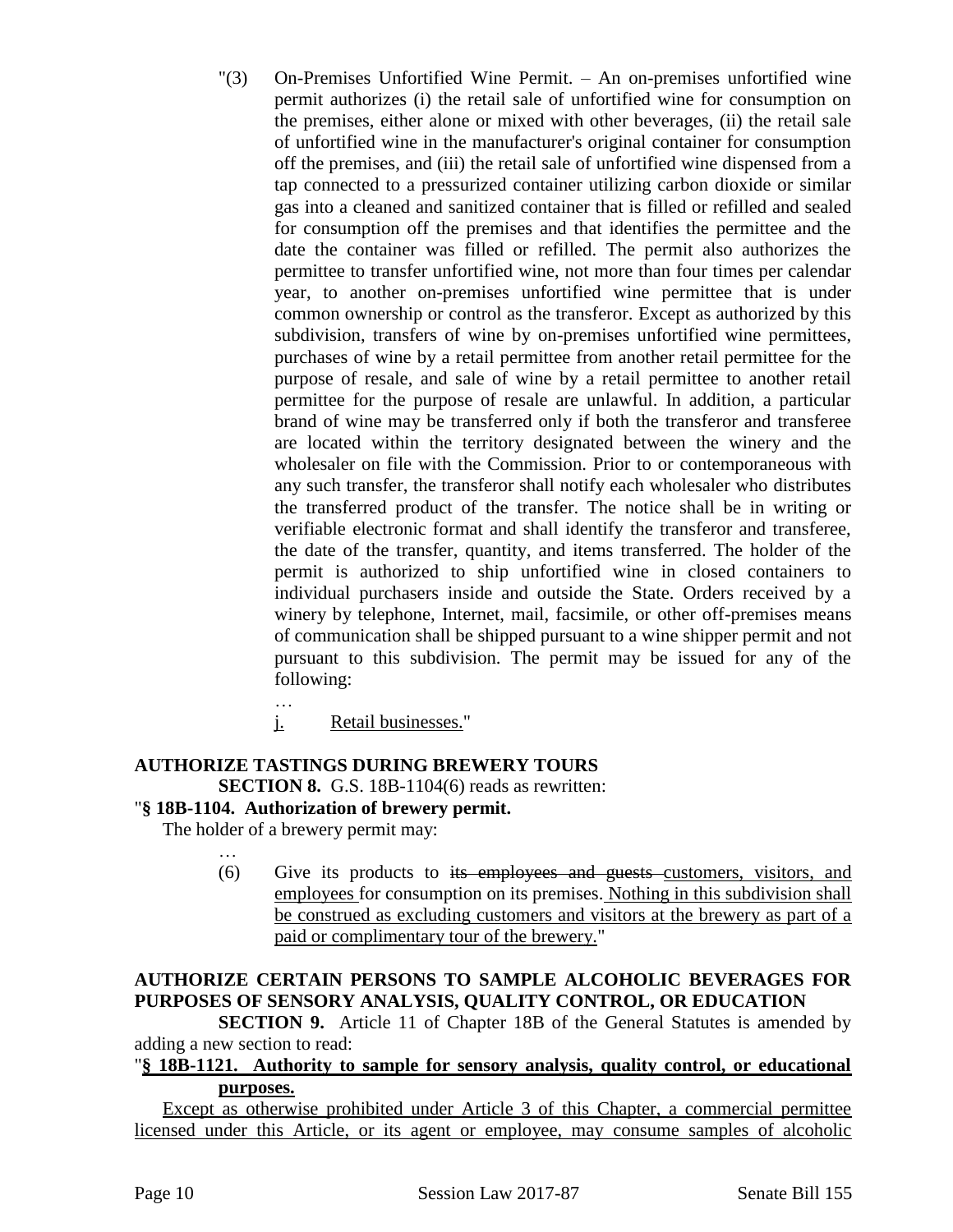- "(3) On-Premises Unfortified Wine Permit. An on-premises unfortified wine permit authorizes (i) the retail sale of unfortified wine for consumption on the premises, either alone or mixed with other beverages, (ii) the retail sale of unfortified wine in the manufacturer's original container for consumption off the premises, and (iii) the retail sale of unfortified wine dispensed from a tap connected to a pressurized container utilizing carbon dioxide or similar gas into a cleaned and sanitized container that is filled or refilled and sealed for consumption off the premises and that identifies the permittee and the date the container was filled or refilled. The permit also authorizes the permittee to transfer unfortified wine, not more than four times per calendar year, to another on-premises unfortified wine permittee that is under common ownership or control as the transferor. Except as authorized by this subdivision, transfers of wine by on-premises unfortified wine permittees, purchases of wine by a retail permittee from another retail permittee for the purpose of resale, and sale of wine by a retail permittee to another retail permittee for the purpose of resale are unlawful. In addition, a particular brand of wine may be transferred only if both the transferor and transferee are located within the territory designated between the winery and the wholesaler on file with the Commission. Prior to or contemporaneous with any such transfer, the transferor shall notify each wholesaler who distributes the transferred product of the transfer. The notice shall be in writing or verifiable electronic format and shall identify the transferor and transferee, the date of the transfer, quantity, and items transferred. The holder of the permit is authorized to ship unfortified wine in closed containers to individual purchasers inside and outside the State. Orders received by a winery by telephone, Internet, mail, facsimile, or other off-premises means of communication shall be shipped pursuant to a wine shipper permit and not pursuant to this subdivision. The permit may be issued for any of the following:
	- j. Retail businesses."

# **AUTHORIZE TASTINGS DURING BREWERY TOURS**

**SECTION 8.** G.S. 18B-1104(6) reads as rewritten:

## "**§ 18B-1104. Authorization of brewery permit.**

The holder of a brewery permit may:

…

… (6) Give its products to its employees and guests customers, visitors, and employees for consumption on its premises. Nothing in this subdivision shall be construed as excluding customers and visitors at the brewery as part of a paid or complimentary tour of the brewery."

# **AUTHORIZE CERTAIN PERSONS TO SAMPLE ALCOHOLIC BEVERAGES FOR PURPOSES OF SENSORY ANALYSIS, QUALITY CONTROL, OR EDUCATION**

**SECTION 9.** Article 11 of Chapter 18B of the General Statutes is amended by adding a new section to read:

### "**§ 18B-1121. Authority to sample for sensory analysis, quality control, or educational purposes.**

Except as otherwise prohibited under Article 3 of this Chapter, a commercial permittee licensed under this Article, or its agent or employee, may consume samples of alcoholic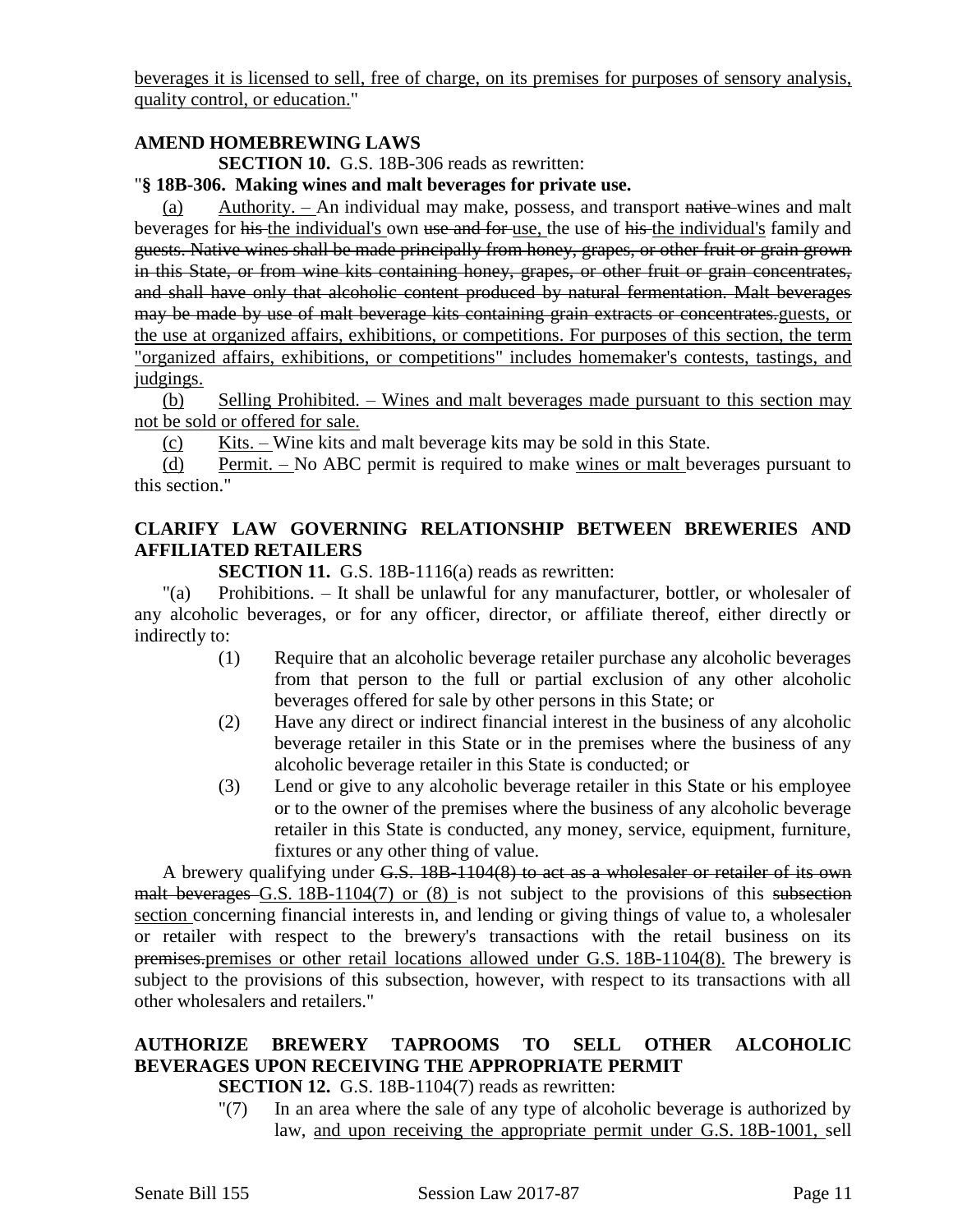beverages it is licensed to sell, free of charge, on its premises for purposes of sensory analysis, quality control, or education."

### **AMEND HOMEBREWING LAWS**

**SECTION 10.** G.S. 18B-306 reads as rewritten:

### "**§ 18B-306. Making wines and malt beverages for private use.**

(a) Authority. – An individual may make, possess, and transport native wines and malt beverages for his the individual's own use and for use, the use of his the individual's family and guests. Native wines shall be made principally from honey, grapes, or other fruit or grain grown in this State, or from wine kits containing honey, grapes, or other fruit or grain concentrates, and shall have only that alcoholic content produced by natural fermentation. Malt beverages may be made by use of malt beverage kits containing grain extracts or concentrates.guests, or the use at organized affairs, exhibitions, or competitions. For purposes of this section, the term "organized affairs, exhibitions, or competitions" includes homemaker's contests, tastings, and judgings.

(b) Selling Prohibited. – Wines and malt beverages made pursuant to this section may not be sold or offered for sale.

(c) Kits. – Wine kits and malt beverage kits may be sold in this State.

(d) Permit. – No ABC permit is required to make wines or malt beverages pursuant to this section."

## **CLARIFY LAW GOVERNING RELATIONSHIP BETWEEN BREWERIES AND AFFILIATED RETAILERS**

**SECTION 11.** G.S. 18B-1116(a) reads as rewritten:

"(a) Prohibitions. – It shall be unlawful for any manufacturer, bottler, or wholesaler of any alcoholic beverages, or for any officer, director, or affiliate thereof, either directly or indirectly to:

- (1) Require that an alcoholic beverage retailer purchase any alcoholic beverages from that person to the full or partial exclusion of any other alcoholic beverages offered for sale by other persons in this State; or
- (2) Have any direct or indirect financial interest in the business of any alcoholic beverage retailer in this State or in the premises where the business of any alcoholic beverage retailer in this State is conducted; or
- (3) Lend or give to any alcoholic beverage retailer in this State or his employee or to the owner of the premises where the business of any alcoholic beverage retailer in this State is conducted, any money, service, equipment, furniture, fixtures or any other thing of value.

A brewery qualifying under G.S. 18B-1104(8) to act as a wholesaler or retailer of its own malt beverages G.S. 18B-1104(7) or (8) is not subject to the provisions of this subsection section concerning financial interests in, and lending or giving things of value to, a wholesaler or retailer with respect to the brewery's transactions with the retail business on its premises.premises or other retail locations allowed under G.S. 18B-1104(8). The brewery is subject to the provisions of this subsection, however, with respect to its transactions with all other wholesalers and retailers."

# **AUTHORIZE BREWERY TAPROOMS TO SELL OTHER ALCOHOLIC BEVERAGES UPON RECEIVING THE APPROPRIATE PERMIT**

**SECTION 12.** G.S. 18B-1104(7) reads as rewritten:

"(7) In an area where the sale of any type of alcoholic beverage is authorized by law, and upon receiving the appropriate permit under G.S. 18B-1001, sell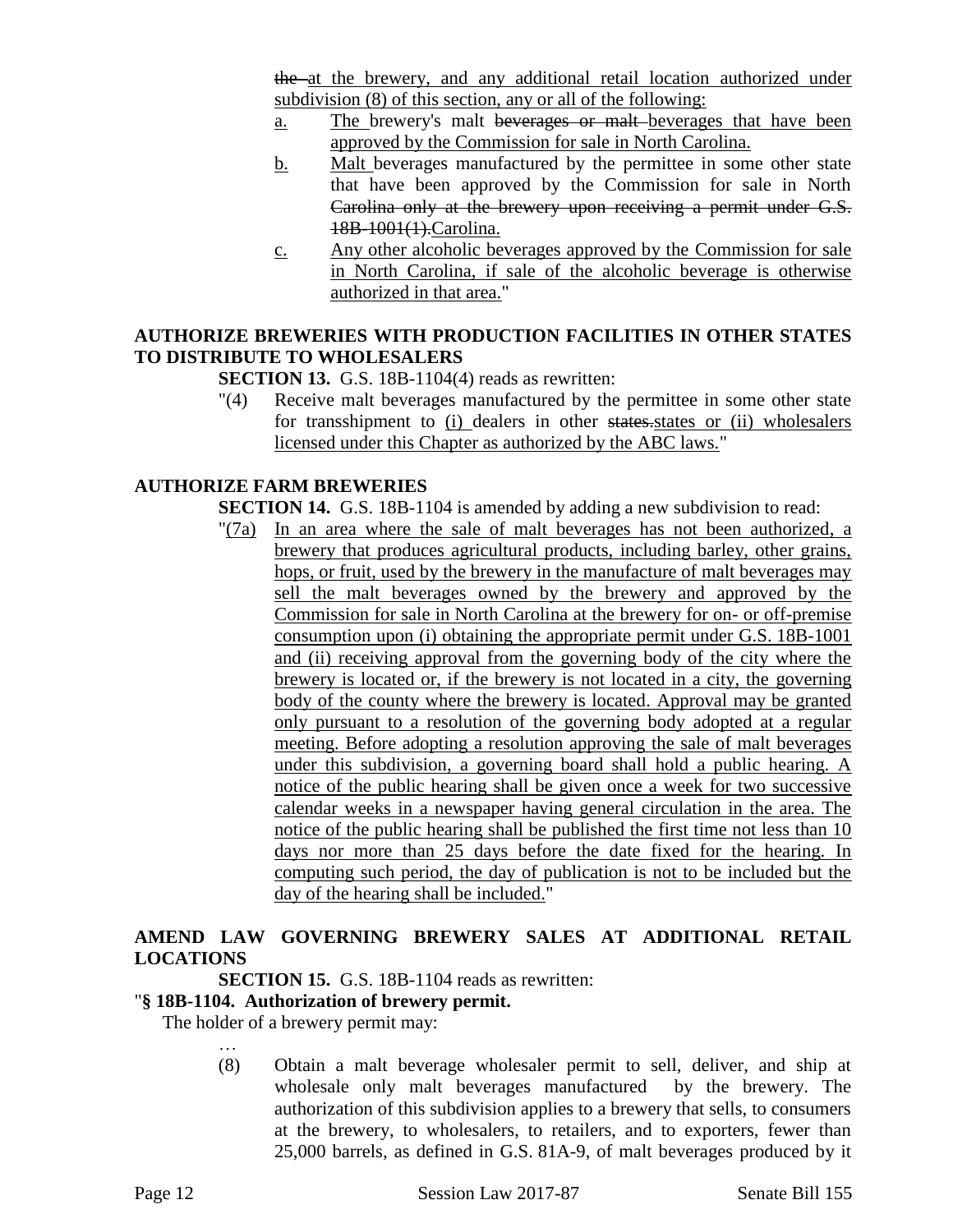the at the brewery, and any additional retail location authorized under subdivision (8) of this section, any or all of the following:

- a. The brewery's malt beverages or malt beverages that have been approved by the Commission for sale in North Carolina.
- b. Malt beverages manufactured by the permittee in some other state that have been approved by the Commission for sale in North Carolina only at the brewery upon receiving a permit under G.S. 18B-1001(1).Carolina.
- c. Any other alcoholic beverages approved by the Commission for sale in North Carolina, if sale of the alcoholic beverage is otherwise authorized in that area."

## **AUTHORIZE BREWERIES WITH PRODUCTION FACILITIES IN OTHER STATES TO DISTRIBUTE TO WHOLESALERS**

## **SECTION 13.** G.S. 18B-1104(4) reads as rewritten:

"(4) Receive malt beverages manufactured by the permittee in some other state for transshipment to (i) dealers in other states.states or (ii) wholesalers licensed under this Chapter as authorized by the ABC laws."

## **AUTHORIZE FARM BREWERIES**

- **SECTION 14.** G.S. 18B-1104 is amended by adding a new subdivision to read:
- "(7a) In an area where the sale of malt beverages has not been authorized, a brewery that produces agricultural products, including barley, other grains, hops, or fruit, used by the brewery in the manufacture of malt beverages may sell the malt beverages owned by the brewery and approved by the Commission for sale in North Carolina at the brewery for on- or off-premise consumption upon (i) obtaining the appropriate permit under G.S. 18B-1001 and (ii) receiving approval from the governing body of the city where the brewery is located or, if the brewery is not located in a city, the governing body of the county where the brewery is located. Approval may be granted only pursuant to a resolution of the governing body adopted at a regular meeting. Before adopting a resolution approving the sale of malt beverages under this subdivision, a governing board shall hold a public hearing. A notice of the public hearing shall be given once a week for two successive calendar weeks in a newspaper having general circulation in the area. The notice of the public hearing shall be published the first time not less than 10 days nor more than 25 days before the date fixed for the hearing. In computing such period, the day of publication is not to be included but the day of the hearing shall be included."

# **AMEND LAW GOVERNING BREWERY SALES AT ADDITIONAL RETAIL LOCATIONS**

**SECTION 15.** G.S. 18B-1104 reads as rewritten:

## "**§ 18B-1104. Authorization of brewery permit.**

The holder of a brewery permit may:

(8) Obtain a malt beverage wholesaler permit to sell, deliver, and ship at wholesale only malt beverages manufactured by the brewery. The authorization of this subdivision applies to a brewery that sells, to consumers at the brewery, to wholesalers, to retailers, and to exporters, fewer than 25,000 barrels, as defined in G.S. 81A-9, of malt beverages produced by it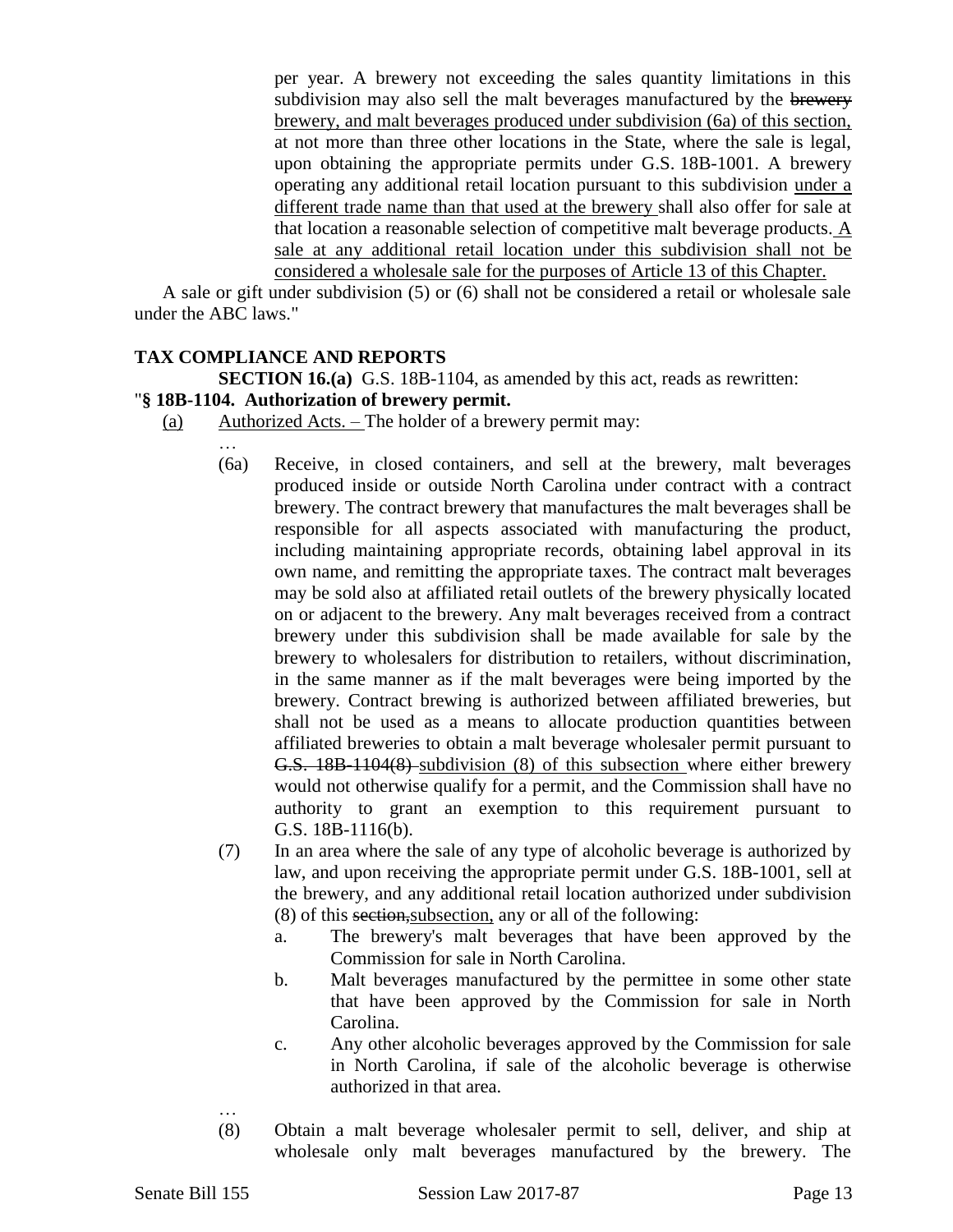per year. A brewery not exceeding the sales quantity limitations in this subdivision may also sell the malt beverages manufactured by the brewery brewery, and malt beverages produced under subdivision (6a) of this section, at not more than three other locations in the State, where the sale is legal, upon obtaining the appropriate permits under G.S. 18B-1001. A brewery operating any additional retail location pursuant to this subdivision under a different trade name than that used at the brewery shall also offer for sale at that location a reasonable selection of competitive malt beverage products. A sale at any additional retail location under this subdivision shall not be considered a wholesale sale for the purposes of Article 13 of this Chapter.

A sale or gift under subdivision (5) or (6) shall not be considered a retail or wholesale sale under the ABC laws."

### **TAX COMPLIANCE AND REPORTS**

**SECTION 16.(a)** G.S. 18B-1104, as amended by this act, reads as rewritten:

### "**§ 18B-1104. Authorization of brewery permit.**

- (a) Authorized Acts. The holder of a brewery permit may:
	- (6a) Receive, in closed containers, and sell at the brewery, malt beverages produced inside or outside North Carolina under contract with a contract brewery. The contract brewery that manufactures the malt beverages shall be responsible for all aspects associated with manufacturing the product, including maintaining appropriate records, obtaining label approval in its own name, and remitting the appropriate taxes. The contract malt beverages may be sold also at affiliated retail outlets of the brewery physically located on or adjacent to the brewery. Any malt beverages received from a contract brewery under this subdivision shall be made available for sale by the brewery to wholesalers for distribution to retailers, without discrimination, in the same manner as if the malt beverages were being imported by the brewery. Contract brewing is authorized between affiliated breweries, but shall not be used as a means to allocate production quantities between affiliated breweries to obtain a malt beverage wholesaler permit pursuant to G.S. 18B-1104(8) subdivision (8) of this subsection where either brewery would not otherwise qualify for a permit, and the Commission shall have no authority to grant an exemption to this requirement pursuant to G.S. 18B-1116(b).
	- (7) In an area where the sale of any type of alcoholic beverage is authorized by law, and upon receiving the appropriate permit under G.S. 18B-1001, sell at the brewery, and any additional retail location authorized under subdivision  $(8)$  of this section, subsection, any or all of the following:
		- a. The brewery's malt beverages that have been approved by the Commission for sale in North Carolina.
		- b. Malt beverages manufactured by the permittee in some other state that have been approved by the Commission for sale in North Carolina.
		- c. Any other alcoholic beverages approved by the Commission for sale in North Carolina, if sale of the alcoholic beverage is otherwise authorized in that area.
	- …
	- (8) Obtain a malt beverage wholesaler permit to sell, deliver, and ship at wholesale only malt beverages manufactured by the brewery. The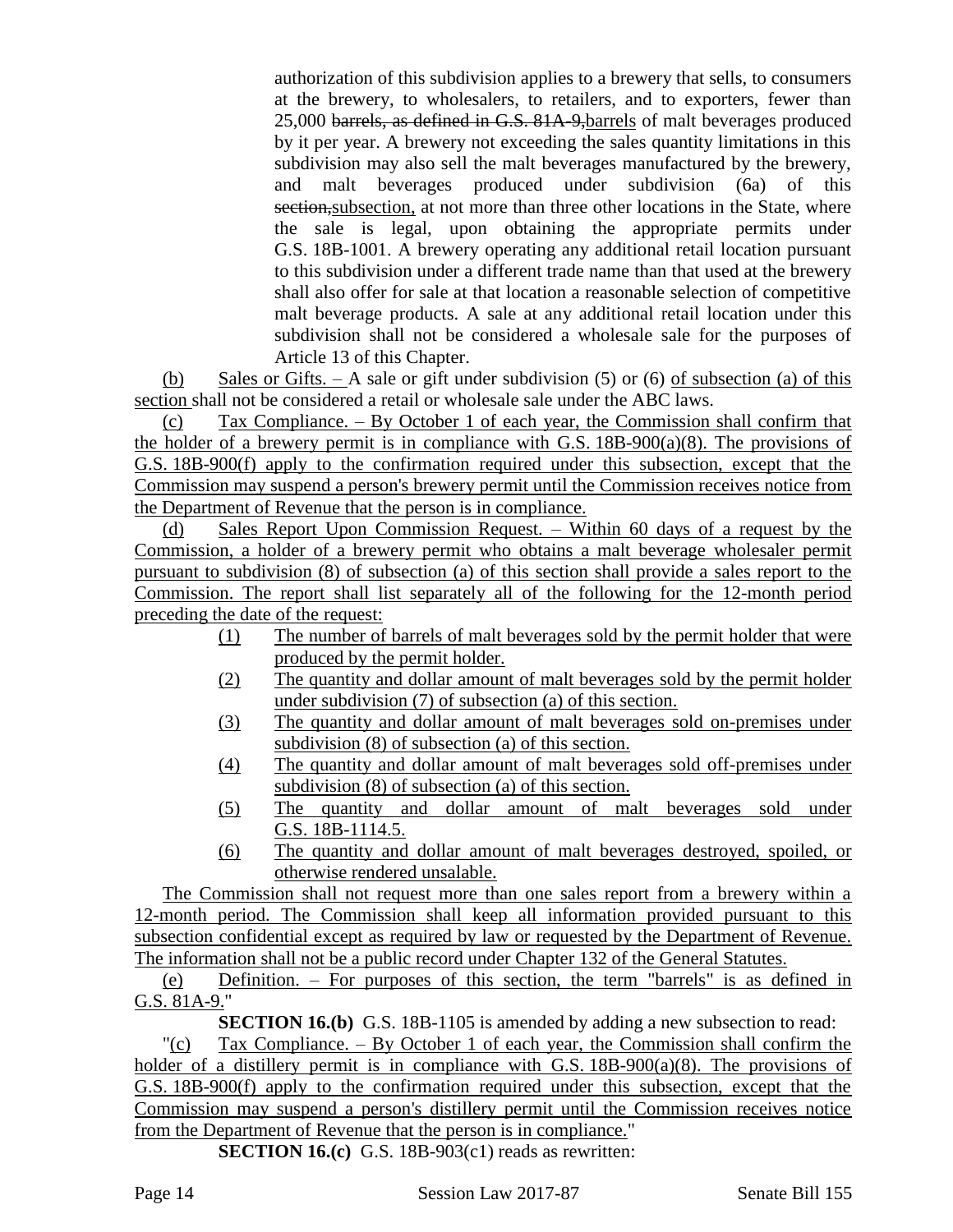authorization of this subdivision applies to a brewery that sells, to consumers at the brewery, to wholesalers, to retailers, and to exporters, fewer than 25,000 barrels, as defined in G.S. 81A-9,barrels of malt beverages produced by it per year. A brewery not exceeding the sales quantity limitations in this subdivision may also sell the malt beverages manufactured by the brewery, and malt beverages produced under subdivision (6a) of this section, subsection, at not more than three other locations in the State, where the sale is legal, upon obtaining the appropriate permits under G.S. 18B-1001. A brewery operating any additional retail location pursuant to this subdivision under a different trade name than that used at the brewery shall also offer for sale at that location a reasonable selection of competitive malt beverage products. A sale at any additional retail location under this subdivision shall not be considered a wholesale sale for the purposes of Article 13 of this Chapter.

(b) Sales or Gifts. – A sale or gift under subdivision (5) or (6) of subsection (a) of this section shall not be considered a retail or wholesale sale under the ABC laws.

(c) Tax Compliance. – By October 1 of each year, the Commission shall confirm that the holder of a brewery permit is in compliance with G.S.  $18B-900(a)(8)$ . The provisions of G.S. 18B-900(f) apply to the confirmation required under this subsection, except that the Commission may suspend a person's brewery permit until the Commission receives notice from the Department of Revenue that the person is in compliance.

(d) Sales Report Upon Commission Request. – Within 60 days of a request by the Commission, a holder of a brewery permit who obtains a malt beverage wholesaler permit pursuant to subdivision (8) of subsection (a) of this section shall provide a sales report to the Commission. The report shall list separately all of the following for the 12-month period preceding the date of the request:

- (1) The number of barrels of malt beverages sold by the permit holder that were produced by the permit holder.
- (2) The quantity and dollar amount of malt beverages sold by the permit holder under subdivision (7) of subsection (a) of this section.
- (3) The quantity and dollar amount of malt beverages sold on-premises under subdivision (8) of subsection (a) of this section.
- (4) The quantity and dollar amount of malt beverages sold off-premises under subdivision (8) of subsection (a) of this section.
- (5) The quantity and dollar amount of malt beverages sold under G.S. 18B-1114.5.
- (6) The quantity and dollar amount of malt beverages destroyed, spoiled, or otherwise rendered unsalable.

The Commission shall not request more than one sales report from a brewery within a 12-month period. The Commission shall keep all information provided pursuant to this subsection confidential except as required by law or requested by the Department of Revenue. The information shall not be a public record under Chapter 132 of the General Statutes.

(e) Definition. – For purposes of this section, the term "barrels" is as defined in G.S. 81A-9."

**SECTION 16.(b)** G.S. 18B-1105 is amended by adding a new subsection to read:

"(c) Tax Compliance. – By October 1 of each year, the Commission shall confirm the holder of a distillery permit is in compliance with G.S. 18B-900(a)(8). The provisions of G.S. 18B-900(f) apply to the confirmation required under this subsection, except that the Commission may suspend a person's distillery permit until the Commission receives notice from the Department of Revenue that the person is in compliance."

**SECTION 16.(c)** G.S. 18B-903(c1) reads as rewritten: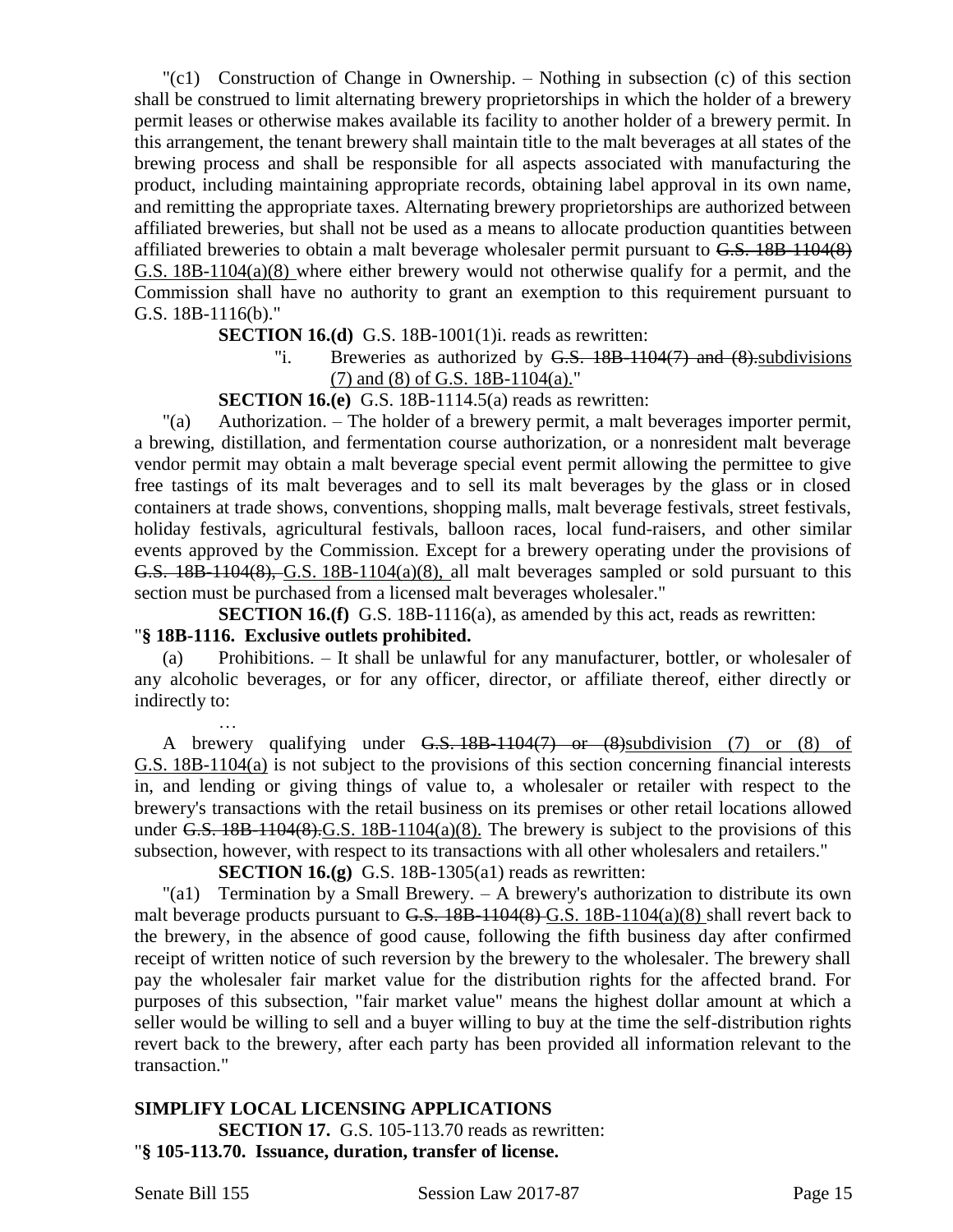"(c1) Construction of Change in Ownership. – Nothing in subsection (c) of this section shall be construed to limit alternating brewery proprietorships in which the holder of a brewery permit leases or otherwise makes available its facility to another holder of a brewery permit. In this arrangement, the tenant brewery shall maintain title to the malt beverages at all states of the brewing process and shall be responsible for all aspects associated with manufacturing the product, including maintaining appropriate records, obtaining label approval in its own name, and remitting the appropriate taxes. Alternating brewery proprietorships are authorized between affiliated breweries, but shall not be used as a means to allocate production quantities between affiliated breweries to obtain a malt beverage wholesaler permit pursuant to G.S. 18B-1104(8) G.S. 18B-1104(a)(8) where either brewery would not otherwise qualify for a permit, and the Commission shall have no authority to grant an exemption to this requirement pursuant to G.S. 18B-1116(b)."

**SECTION 16.(d)** G.S. 18B-1001(1)*i*. reads as rewritten:

"i. Breweries as authorized by G.S. 18B-1104(7) and (8).subdivisions (7) and (8) of G.S. 18B-1104(a)."

**SECTION 16.(e)** G.S. 18B-1114.5(a) reads as rewritten:

"(a) Authorization. – The holder of a brewery permit, a malt beverages importer permit, a brewing, distillation, and fermentation course authorization, or a nonresident malt beverage vendor permit may obtain a malt beverage special event permit allowing the permittee to give free tastings of its malt beverages and to sell its malt beverages by the glass or in closed containers at trade shows, conventions, shopping malls, malt beverage festivals, street festivals, holiday festivals, agricultural festivals, balloon races, local fund-raisers, and other similar events approved by the Commission. Except for a brewery operating under the provisions of G.S. 18B-1104(8), G.S. 18B-1104(a)(8), all malt beverages sampled or sold pursuant to this section must be purchased from a licensed malt beverages wholesaler."

**SECTION 16.(f)** G.S. 18B-1116(a), as amended by this act, reads as rewritten:

#### "**§ 18B-1116. Exclusive outlets prohibited.**

…

(a) Prohibitions. – It shall be unlawful for any manufacturer, bottler, or wholesaler of any alcoholic beverages, or for any officer, director, or affiliate thereof, either directly or indirectly to:

A brewery qualifying under G.S. 18B-1104(7) or (8) subdivision (7) or (8) of G.S. 18B-1104(a) is not subject to the provisions of this section concerning financial interests in, and lending or giving things of value to, a wholesaler or retailer with respect to the brewery's transactions with the retail business on its premises or other retail locations allowed under G.S.  $18B-1104(8)$ .G.S. 18B-1104(a)(8). The brewery is subject to the provisions of this subsection, however, with respect to its transactions with all other wholesalers and retailers."

**SECTION 16.(g)** G.S. 18B-1305(a1) reads as rewritten:

"(a1) Termination by a Small Brewery. – A brewery's authorization to distribute its own malt beverage products pursuant to  $G.S. 18B-1104(8)$   $G.S. 18B-1104(a)(8)$  shall revert back to the brewery, in the absence of good cause, following the fifth business day after confirmed receipt of written notice of such reversion by the brewery to the wholesaler. The brewery shall pay the wholesaler fair market value for the distribution rights for the affected brand. For purposes of this subsection, "fair market value" means the highest dollar amount at which a seller would be willing to sell and a buyer willing to buy at the time the self-distribution rights revert back to the brewery, after each party has been provided all information relevant to the transaction."

### **SIMPLIFY LOCAL LICENSING APPLICATIONS SECTION 17.** G.S. 105-113.70 reads as rewritten: "**§ 105-113.70. Issuance, duration, transfer of license.**

Senate Bill 155 Session Law 2017-87 Page 15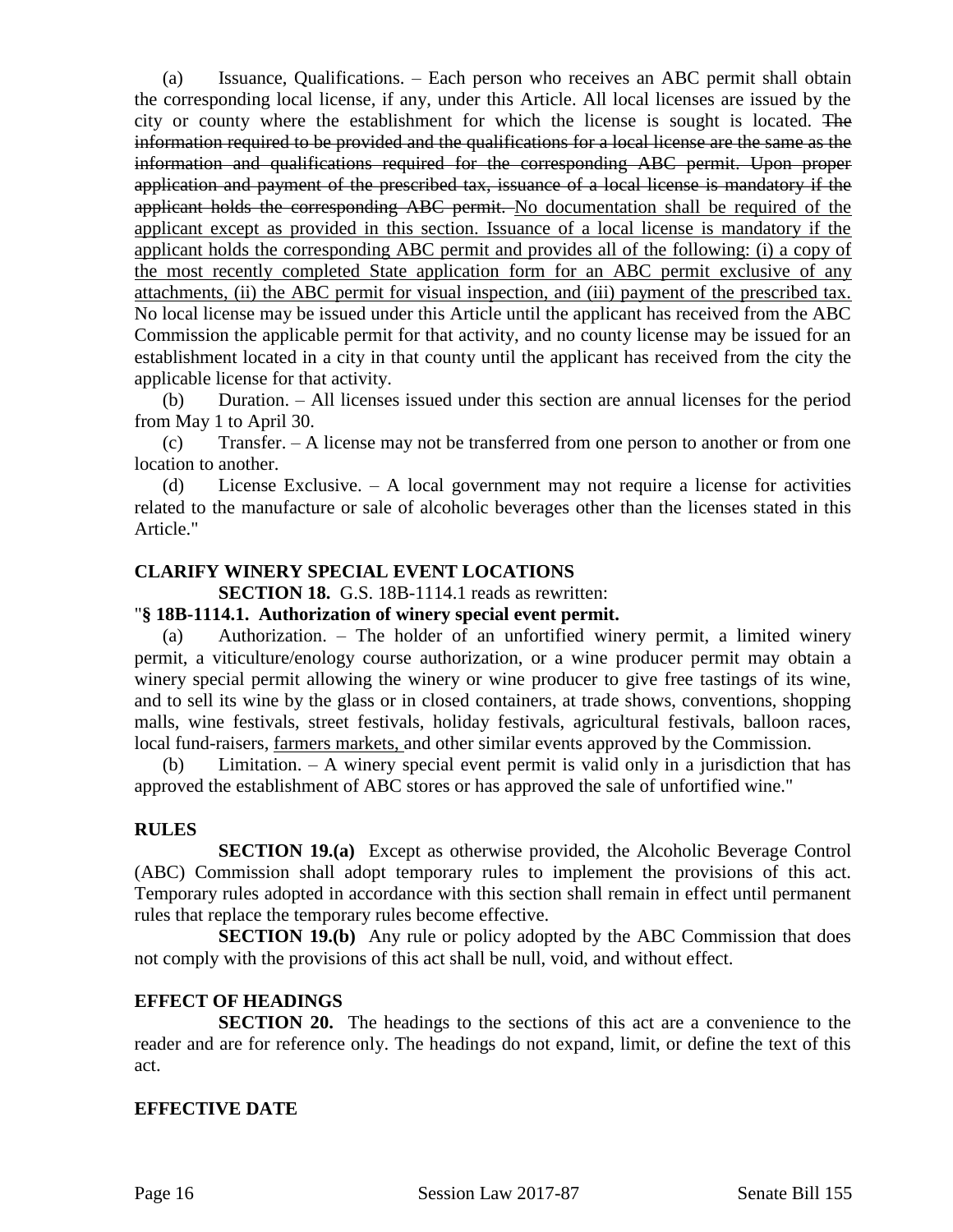(a) Issuance, Qualifications. – Each person who receives an ABC permit shall obtain the corresponding local license, if any, under this Article. All local licenses are issued by the city or county where the establishment for which the license is sought is located. The information required to be provided and the qualifications for a local license are the same as the information and qualifications required for the corresponding ABC permit. Upon proper application and payment of the prescribed tax, issuance of a local license is mandatory if the applicant holds the corresponding ABC permit. No documentation shall be required of the applicant except as provided in this section. Issuance of a local license is mandatory if the applicant holds the corresponding ABC permit and provides all of the following: (i) a copy of the most recently completed State application form for an ABC permit exclusive of any attachments, (ii) the ABC permit for visual inspection, and (iii) payment of the prescribed tax. No local license may be issued under this Article until the applicant has received from the ABC Commission the applicable permit for that activity, and no county license may be issued for an establishment located in a city in that county until the applicant has received from the city the applicable license for that activity.

(b) Duration. – All licenses issued under this section are annual licenses for the period from May 1 to April 30.

(c) Transfer. – A license may not be transferred from one person to another or from one location to another.

(d) License Exclusive. – A local government may not require a license for activities related to the manufacture or sale of alcoholic beverages other than the licenses stated in this Article."

### **CLARIFY WINERY SPECIAL EVENT LOCATIONS**

**SECTION 18.** G.S. 18B-1114.1 reads as rewritten:

#### "**§ 18B-1114.1. Authorization of winery special event permit.**

(a) Authorization. – The holder of an unfortified winery permit, a limited winery permit, a viticulture/enology course authorization, or a wine producer permit may obtain a winery special permit allowing the winery or wine producer to give free tastings of its wine, and to sell its wine by the glass or in closed containers, at trade shows, conventions, shopping malls, wine festivals, street festivals, holiday festivals, agricultural festivals, balloon races, local fund-raisers, farmers markets, and other similar events approved by the Commission.

(b) Limitation. – A winery special event permit is valid only in a jurisdiction that has approved the establishment of ABC stores or has approved the sale of unfortified wine."

### **RULES**

**SECTION 19.(a)** Except as otherwise provided, the Alcoholic Beverage Control (ABC) Commission shall adopt temporary rules to implement the provisions of this act. Temporary rules adopted in accordance with this section shall remain in effect until permanent rules that replace the temporary rules become effective.

**SECTION 19.(b)** Any rule or policy adopted by the ABC Commission that does not comply with the provisions of this act shall be null, void, and without effect.

### **EFFECT OF HEADINGS**

**SECTION 20.** The headings to the sections of this act are a convenience to the reader and are for reference only. The headings do not expand, limit, or define the text of this act.

### **EFFECTIVE DATE**